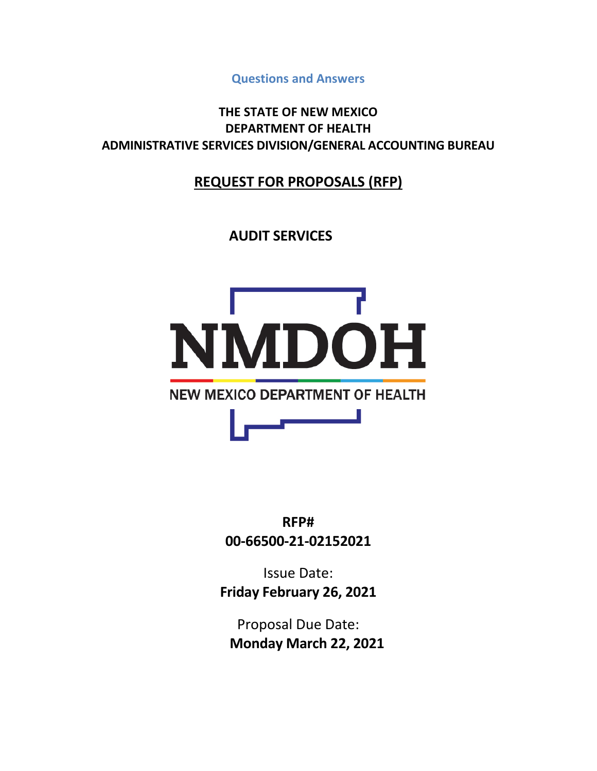**Questions and Answers**

**THE STATE OF NEW MEXICO DEPARTMENT OF HEALTH ADMINISTRATIVE SERVICES DIVISION/GENERAL ACCOUNTING BUREAU**

## **REQUEST FOR PROPOSALS (RFP)**

**AUDIT SERVICES**



**RFP# 00-66500-21-02152021**

Issue Date: **Friday February 26, 2021**

Proposal Due Date: **Monday March 22, 2021**